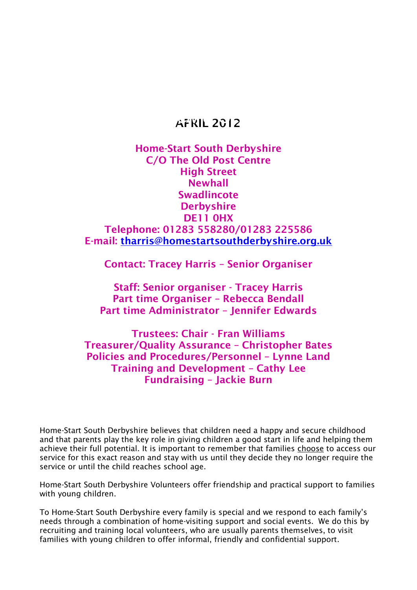# **APRIL 2012**

# **Home-Start South Derbyshire C/O The Old Post Centre High Street Newhall Swadlincote Derbyshire DE11 0HX Telephone: 01283 558280/01283 225586 E-mail: [tharris@homestartsouthderbyshire.org.uk](mailto:tharris@homestartsouthderbyshire.org.uk)**

**Contact: Tracey Harris – Senior Organiser**

**Staff: Senior organiser - Tracey Harris Part time Organiser – Rebecca Bendall Part time Administrator – Jennifer Edwards**

**Trustees: Chair - Fran Williams Treasurer/Quality Assurance – Christopher Bates Policies and Procedures/Personnel – Lynne Land Training and Development – Cathy Lee Fundraising – Jackie Burn**

Home-Start South Derbyshire believes that children need a happy and secure childhood and that parents play the key role in giving children a good start in life and helping them achieve their full potential. It is important to remember that families choose to access our service for this exact reason and stay with us until they decide they no longer require the service or until the child reaches school age.

Home-Start South Derbyshire Volunteers offer friendship and practical support to families with young children.

To Home-Start South Derbyshire every family is special and we respond to each family's needs through a combination of home-visiting support and social events. We do this by recruiting and training local volunteers, who are usually parents themselves, to visit families with young children to offer informal, friendly and confidential support.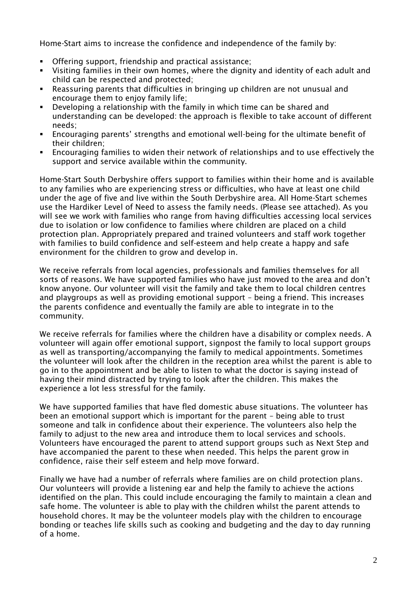Home-Start aims to increase the confidence and independence of the family by:

- Offering support, friendship and practical assistance;
- Visiting families in their own homes, where the dignity and identity of each adult and child can be respected and protected;
- Reassuring parents that difficulties in bringing up children are not unusual and encourage them to enjoy family life;
- Developing a relationship with the family in which time can be shared and understanding can be developed: the approach is flexible to take account of different needs;
- Encouraging parents' strengths and emotional well-being for the ultimate benefit of their children;
- Encouraging families to widen their network of relationships and to use effectively the support and service available within the community.

Home-Start South Derbyshire offers support to families within their home and is available to any families who are experiencing stress or difficulties, who have at least one child under the age of five and live within the South Derbyshire area. All Home-Start schemes use the Hardiker Level of Need to assess the family needs. (Please see attached). As you will see we work with families who range from having difficulties accessing local services due to isolation or low confidence to families where children are placed on a child protection plan. Appropriately prepared and trained volunteers and staff work together with families to build confidence and self-esteem and help create a happy and safe environment for the children to grow and develop in.

We receive referrals from local agencies, professionals and families themselves for all sorts of reasons. We have supported families who have just moved to the area and don't know anyone. Our volunteer will visit the family and take them to local children centres and playgroups as well as providing emotional support – being a friend. This increases the parents confidence and eventually the family are able to integrate in to the community.

We receive referrals for families where the children have a disability or complex needs. A volunteer will again offer emotional support, signpost the family to local support groups as well as transporting/accompanying the family to medical appointments. Sometimes the volunteer will look after the children in the reception area whilst the parent is able to go in to the appointment and be able to listen to what the doctor is saying instead of having their mind distracted by trying to look after the children. This makes the experience a lot less stressful for the family.

We have supported families that have fled domestic abuse situations. The volunteer has been an emotional support which is important for the parent – being able to trust someone and talk in confidence about their experience. The volunteers also help the family to adjust to the new area and introduce them to local services and schools. Volunteers have encouraged the parent to attend support groups such as Next Step and have accompanied the parent to these when needed. This helps the parent grow in confidence, raise their self esteem and help move forward.

Finally we have had a number of referrals where families are on child protection plans. Our volunteers will provide a listening ear and help the family to achieve the actions identified on the plan. This could include encouraging the family to maintain a clean and safe home. The volunteer is able to play with the children whilst the parent attends to household chores. It may be the volunteer models play with the children to encourage bonding or teaches life skills such as cooking and budgeting and the day to day running of a home.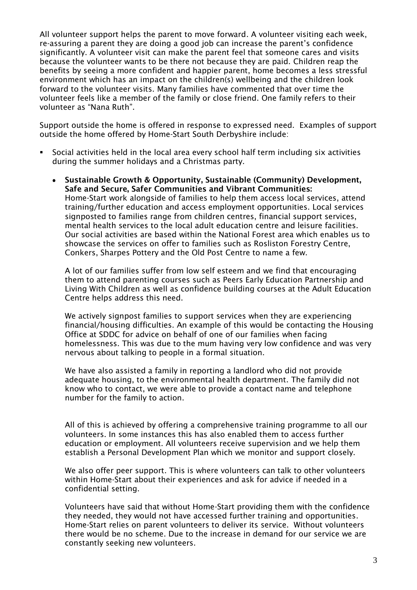All volunteer support helps the parent to move forward. A volunteer visiting each week, re-assuring a parent they are doing a good job can increase the parent's confidence significantly. A volunteer visit can make the parent feel that someone cares and visits because the volunteer wants to be there not because they are paid. Children reap the benefits by seeing a more confident and happier parent, home becomes a less stressful environment which has an impact on the children(s) wellbeing and the children look forward to the volunteer visits. Many families have commented that over time the volunteer feels like a member of the family or close friend. One family refers to their volunteer as "Nana Ruth".

Support outside the home is offered in response to expressed need. Examples of support outside the home offered by Home-Start South Derbyshire include:

- Social activities held in the local area every school half term including six activities during the summer holidays and a Christmas party.
	- **Sustainable Growth & Opportunity, Sustainable (Community) Development,**   $\bullet$ **Safe and Secure, Safer Communities and Vibrant Communities:** Home-Start work alongside of families to help them access local services, attend training/further education and access employment opportunities. Local services signposted to families range from children centres, financial support services, mental health services to the local adult education centre and leisure facilities. Our social activities are based within the National Forest area which enables us to showcase the services on offer to families such as Rosliston Forestry Centre, Conkers, Sharpes Pottery and the Old Post Centre to name a few.

A lot of our families suffer from low self esteem and we find that encouraging them to attend parenting courses such as Peers Early Education Partnership and Living With Children as well as confidence building courses at the Adult Education Centre helps address this need.

We actively signpost families to support services when they are experiencing financial/housing difficulties. An example of this would be contacting the Housing Office at SDDC for advice on behalf of one of our families when facing homelessness. This was due to the mum having very low confidence and was very nervous about talking to people in a formal situation.

We have also assisted a family in reporting a landlord who did not provide adequate housing, to the environmental health department. The family did not know who to contact, we were able to provide a contact name and telephone number for the family to action.

All of this is achieved by offering a comprehensive training programme to all our volunteers. In some instances this has also enabled them to access further education or employment. All volunteers receive supervision and we help them establish a Personal Development Plan which we monitor and support closely.

We also offer peer support. This is where volunteers can talk to other volunteers within Home-Start about their experiences and ask for advice if needed in a confidential setting.

Volunteers have said that without Home-Start providing them with the confidence they needed, they would not have accessed further training and opportunities. Home-Start relies on parent volunteers to deliver its service. Without volunteers there would be no scheme. Due to the increase in demand for our service we are constantly seeking new volunteers.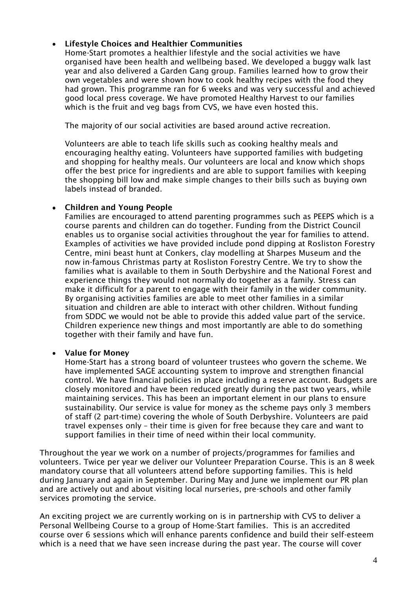## **Lifestyle Choices and Healthier Communities**  $\bullet$

Home-Start promotes a healthier lifestyle and the social activities we have organised have been health and wellbeing based. We developed a buggy walk last year and also delivered a Garden Gang group. Families learned how to grow their own vegetables and were shown how to cook healthy recipes with the food they had grown. This programme ran for 6 weeks and was very successful and achieved good local press coverage. We have promoted Healthy Harvest to our families which is the fruit and veg bags from CVS, we have even hosted this.

The majority of our social activities are based around active recreation.

Volunteers are able to teach life skills such as cooking healthy meals and encouraging healthy eating. Volunteers have supported families with budgeting and shopping for healthy meals. Our volunteers are local and know which shops offer the best price for ingredients and are able to support families with keeping the shopping bill low and make simple changes to their bills such as buying own labels instead of branded.

### **Children and Young People**  $\bullet$

Families are encouraged to attend parenting programmes such as PEEPS which is a course parents and children can do together. Funding from the District Council enables us to organise social activities throughout the year for families to attend. Examples of activities we have provided include pond dipping at Rosliston Forestry Centre, mini beast hunt at Conkers, clay modelling at Sharpes Museum and the now in-famous Christmas party at Rosliston Forestry Centre. We try to show the families what is available to them in South Derbyshire and the National Forest and experience things they would not normally do together as a family. Stress can make it difficult for a parent to engage with their family in the wider community. By organising activities families are able to meet other families in a similar situation and children are able to interact with other children. Without funding from SDDC we would not be able to provide this added value part of the service. Children experience new things and most importantly are able to do something together with their family and have fun.

### $\bullet$ **Value for Money**

Home-Start has a strong board of volunteer trustees who govern the scheme. We have implemented SAGE accounting system to improve and strengthen financial control. We have financial policies in place including a reserve account. Budgets are closely monitored and have been reduced greatly during the past two years, while maintaining services. This has been an important element in our plans to ensure sustainability. Our service is value for money as the scheme pays only 3 members of staff (2 part-time) covering the whole of South Derbyshire. Volunteers are paid travel expenses only – their time is given for free because they care and want to support families in their time of need within their local community.

Throughout the year we work on a number of projects/programmes for families and volunteers. Twice per year we deliver our Volunteer Preparation Course. This is an 8 week mandatory course that all volunteers attend before supporting families. This is held during January and again in September. During May and June we implement our PR plan and are actively out and about visiting local nurseries, pre-schools and other family services promoting the service.

An exciting project we are currently working on is in partnership with CVS to deliver a Personal Wellbeing Course to a group of Home-Start families. This is an accredited course over 6 sessions which will enhance parents confidence and build their self-esteem which is a need that we have seen increase during the past year. The course will cover